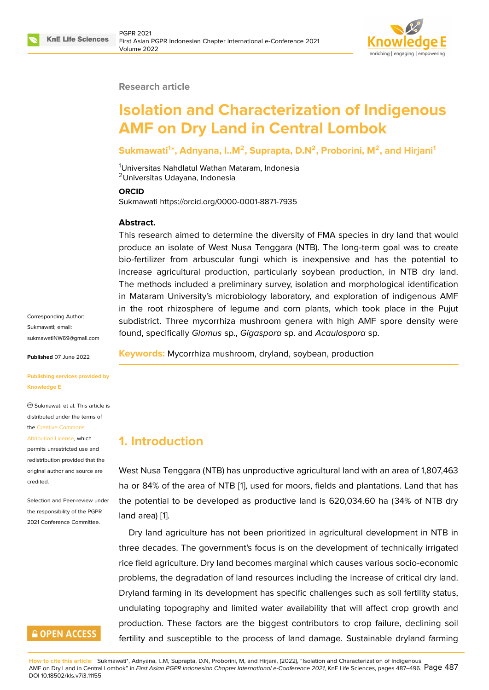

#### **Research article**

# **Isolation and Characterization of Indigenous AMF on Dry Land in Central Lombok**

### **Sukmawati<sup>1</sup> \*, Adnyana, I..M<sup>2</sup> , Suprapta, D.N<sup>2</sup> , Proborini, M<sup>2</sup> , and Hirjani<sup>1</sup>**

<sup>1</sup>Universitas Nahdlatul Wathan Mataram, Indonesia <sup>2</sup>Universitas Udayana, Indonesia

#### **ORCID**

Sukmawati https://orcid.org/0000-0001-8871-7935

### **Abstract.**

This research aimed to determine the diversity of FMA species in dry land that would produce an isolate of West Nusa Tenggara (NTB). The long-term goal was to create bio-fertilizer from arbuscular fungi which is inexpensive and has the potential to increase agricultural production, particularly soybean production, in NTB dry land. The methods included a preliminary survey, isolation and morphological identification in Mataram University's microbiology laboratory, and exploration of indigenous AMF in the root rhizosphere of legume and corn plants, which took place in the Pujut subdistrict. Three mycorrhiza mushroom genera with high AMF spore density were found, specifically *Glomus* sp., *Gigaspora* sp. and *Acaulospora* sp.

Corresponding Author: Sukmawati; email: sukmawatiNW69@gmail.com

**Published** 07 June 2022

**[Publishing services provided](mailto:sukmawatiNW69@gmail.com) by Knowledge E**

Sukmawati et al. This article is distributed under the terms of the Creative Commons

Attribution License, which permits unrestricted use and redistribution provided that the orig[inal author and sou](https://creativecommons.org/licenses/by/4.0/)rce are [credited.](https://creativecommons.org/licenses/by/4.0/)

Selection and Peer-review under the responsibility of the PGPR 2021 Conference Committee.

# **GOPEN ACCESS**

**Keywords:** Mycorrhiza mushroom, dryland, soybean, production

## **1. Introduction**

West Nusa Tenggara (NTB) has unproductive agricultural land with an area of 1,807,463 ha or 84% of the area of NTB [1], used for moors, fields and plantations. Land that has the potential to be developed as productive land is 620,034.60 ha (34% of NTB dry land area) [1].

Dry land agriculture has not been prioritized in agricultural development in NTB in three decades. The government's focus is on the development of technically irrigated rice field a[gr](#page-7-0)iculture. Dry land becomes marginal which causes various socio-economic problems, the degradation of land resources including the increase of critical dry land. Dryland farming in its development has specific challenges such as soil fertility status, undulating topography and limited water availability that will affect crop growth and production. These factors are the biggest contributors to crop failure, declining soil fertility and susceptible to the process of land damage. Sustainable dryland farming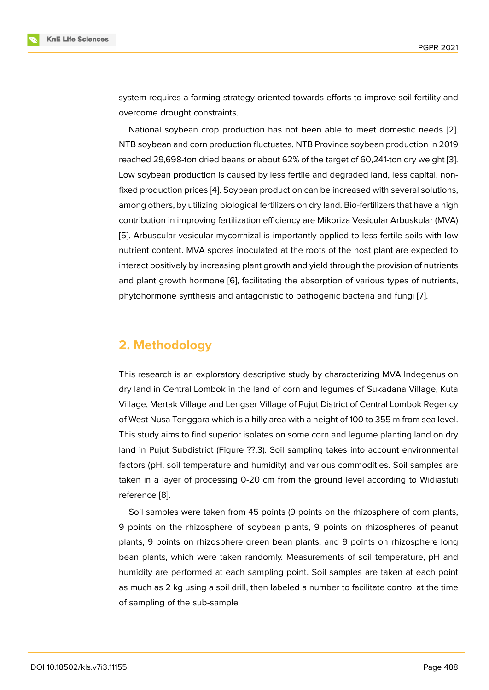system requires a farming strategy oriented towards efforts to improve soil fertility and overcome drought constraints.

National soybean crop production has not been able to meet domestic needs [2]. NTB soybean and corn production fluctuates. NTB Province soybean production in 2019 reached 29,698-ton dried beans or about 62% of the target of 60,241-ton dry weight [3]. Low soybean production is caused by less fertile and degraded land, less capital, n[on](#page-7-1)fixed production prices [4]. Soybean production can be increased with several solutions, among others, by utilizing biological fertilizers on dry land. Bio-fertilizers that have a hi[gh](#page-7-2) contribution in improving fertilization efficiency are Mikoriza Vesicular Arbuskular (MVA) [5]. Arbuscular vesicula[r m](#page-7-3)ycorrhizal is importantly applied to less fertile soils with low nutrient content. MVA spores inoculated at the roots of the host plant are expected to interact positively by increasing plant growth and yield through the provision of nutrients [an](#page-7-4)d plant growth hormone [6], facilitating the absorption of various types of nutrients, phytohormone synthesis and antagonistic to pathogenic bacteria and fungi [7].

# **2. Methodology**

This research is an exploratory descriptive study by characterizing MVA Indegenus on dry land in Central Lombok in the land of corn and legumes of Sukadana Village, Kuta Village, Mertak Village and Lengser Village of Pujut District of Central Lombok Regency of West Nusa Tenggara which is a hilly area with a height of 100 to 355 m from sea level. This study aims to find superior isolates on some corn and legume planting land on dry land in Pujut Subdistrict (Figure ??.3). Soil sampling takes into account environmental factors (pH, soil temperature and humidity) and various commodities. Soil samples are taken in a layer of processing 0-20 cm from the ground level according to Widiastuti reference [8].

Soil samples were taken from 45 points (9 points on the rhizosphere of corn plants, 9 points on the rhizosphere of soybean plants, 9 points on rhizospheres of peanut plants, 9 [poi](#page-7-5)nts on rhizosphere green bean plants, and 9 points on rhizosphere long bean plants, which were taken randomly. Measurements of soil temperature, pH and humidity are performed at each sampling point. Soil samples are taken at each point as much as 2 kg using a soil drill, then labeled a number to facilitate control at the time of sampling of the sub-sample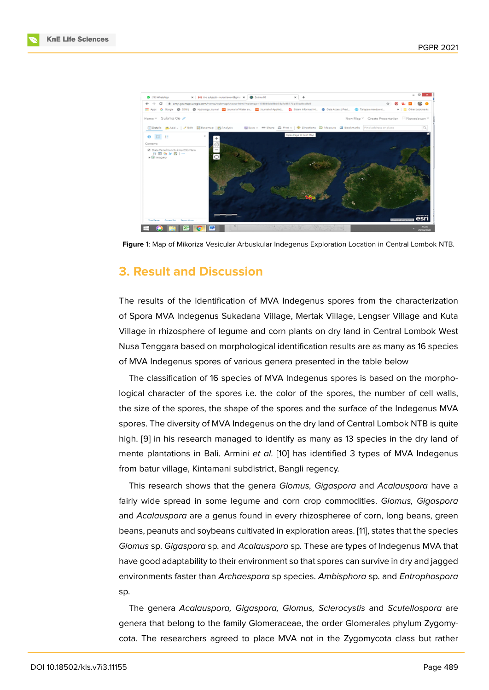

**Figure** 1: Map of Mikoriza Vesicular Arbuskular Indegenus Exploration Location in Central Lombok NTB.

## **3. Result and Discussion**

The results of the identification of MVA Indegenus spores from the characterization of Spora MVA Indegenus Sukadana Village, Mertak Village, Lengser Village and Kuta Village in rhizosphere of legume and corn plants on dry land in Central Lombok West Nusa Tenggara based on morphological identification results are as many as 16 species of MVA Indegenus spores of various genera presented in the table below

The classification of 16 species of MVA Indegenus spores is based on the morphological character of the spores i.e. the color of the spores, the number of cell walls, the size of the spores, the shape of the spores and the surface of the Indegenus MVA spores. The diversity of MVA Indegenus on the dry land of Central Lombok NTB is quite high. [9] in his research managed to identify as many as 13 species in the dry land of mente plantations in Bali. Armini *et al*. [10] has identified 3 types of MVA Indegenus from batur village, Kintamani subdistrict, Bangli regency.

Thi[s r](#page-8-0)esearch shows that the genera *Glomus, Gigaspora* and *Acalauspora* have a fairly wide spread in some legume and [co](#page-8-1)rn crop commodities. *Glomus, Gigaspora* and *Acalauspora* are a genus found in every rhizospheree of corn, long beans, green beans, peanuts and soybeans cultivated in exploration areas. [11], states that the species *Glomus* sp. *Gigaspora* sp. and *Acalauspora* sp. These are types of Indegenus MVA that have good adaptability to their environment so that spores can survive in dry and jagged environments faster than *Archaespora* sp species. *Ambispho[ra](#page-8-2)* sp. and *Entrophospora* sp.

The genera *Acalauspora, Gigaspora, Glomus, Sclerocystis* and *Scutellospora* are genera that belong to the family Glomeraceae, the order Glomerales phylum Zygomycota. The researchers agreed to place MVA not in the Zygomycota class but rather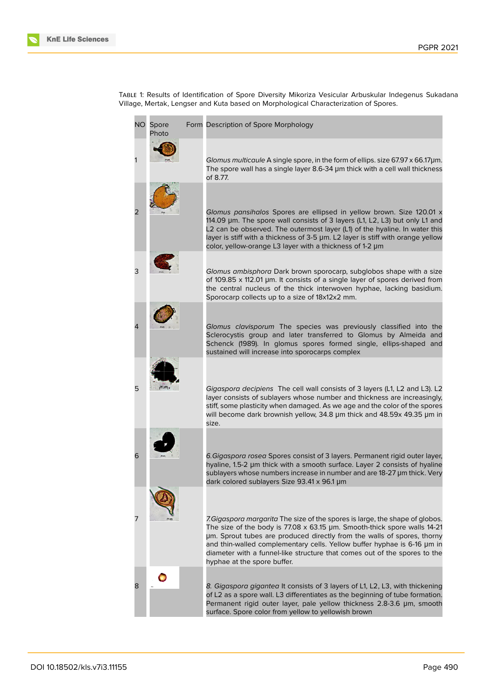Table 1: Results of Identification of Spore Diversity Mikoriza Vesicular Arbuskular Indegenus Sukadana Village, Mertak, Lengser and Kuta based on Morphological Characterization of Spores.

| NO. | Spore<br>Photo | Form Description of Spore Morphology                                                                                                                                                                                                                                                                                                                                                                                       |
|-----|----------------|----------------------------------------------------------------------------------------------------------------------------------------------------------------------------------------------------------------------------------------------------------------------------------------------------------------------------------------------------------------------------------------------------------------------------|
|     |                | Glomus multicaule A single spore, in the form of ellips. size 67.97 x 66.17µm.<br>The spore wall has a single layer 8.6-34 µm thick with a cell wall thickness<br>of 8.77.                                                                                                                                                                                                                                                 |
| 2   |                | Glomus pansihalos Spores are ellipsed in yellow brown. Size 120.01 x<br>114.09 µm. The spore wall consists of 3 layers (L1, L2, L3) but only L1 and<br>L2 can be observed. The outermost layer (L1) of the hyaline. In water this<br>layer is stiff with a thickness of 3-5 µm. L2 layer is stiff with orange yellow<br>color, yellow-orange L3 layer with a thickness of 1-2 µm                                           |
| 3   |                | Glomus ambisphora Dark brown sporocarp, subglobos shape with a size<br>of 109.85 x 112.01 µm. It consists of a single layer of spores derived from<br>the central nucleus of the thick interwoven hyphae, lacking basidium.<br>Sporocarp collects up to a size of 18x12x2 mm.                                                                                                                                              |
|     |                | Glomus clavisporum The species was previously classified into the<br>Sclerocystis group and later transferred to Glomus by Almeida and<br>Schenck (1989). In glomus spores formed single, ellips-shaped and<br>sustained will increase into sporocarps complex                                                                                                                                                             |
| 5   |                | Gigaspora decipiens The cell wall consists of 3 layers (L1, L2 and L3). L2<br>layer consists of sublayers whose number and thickness are increasingly,<br>stiff, some plasticity when damaged. As we age and the color of the spores<br>will become dark brownish yellow, 34.8 µm thick and 48.59x 49.35 µm in<br>size.                                                                                                    |
| 6   |                | 6. Gigaspora rosea Spores consist of 3 layers. Permanent rigid outer layer,<br>hyaline, 1.5-2 µm thick with a smooth surface. Layer 2 consists of hyaline<br>sublayers whose numbers increase in number and are 18-27 µm thick. Very<br>dark colored sublayers Size 93.41 x 96.1 µm                                                                                                                                        |
| 7   |                | 7. Gigaspora margarita The size of the spores is large, the shape of globos.<br>The size of the body is 77.08 x 63.15 µm. Smooth-thick spore walls 14-21<br>um. Sprout tubes are produced directly from the walls of spores, thorny<br>and thin-walled complementary cells. Yellow buffer hyphae is 6-16 µm in<br>diameter with a funnel-like structure that comes out of the spores to the<br>hyphae at the spore buffer. |
| 8   |                | 8. Gigaspora gigantea It consists of 3 layers of L1, L2, L3, with thickening<br>of L2 as a spore wall. L3 differentiates as the beginning of tube formation.<br>Permanent rigid outer layer, pale yellow thickness 2.8-3.6 µm, smooth<br>surface. Spore color from yellow to yellowish brown                                                                                                                               |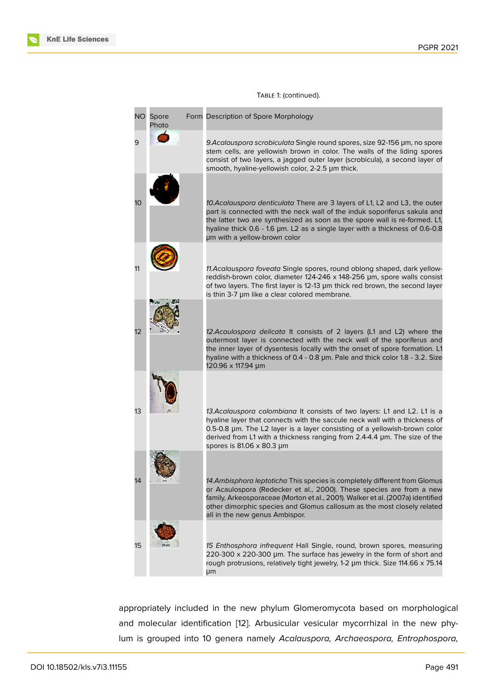| NO. | Spore<br>Photo | Form Description of Spore Morphology                                                                                                                                                                                                                                                                                                                 |
|-----|----------------|------------------------------------------------------------------------------------------------------------------------------------------------------------------------------------------------------------------------------------------------------------------------------------------------------------------------------------------------------|
| 9   |                | 9. Acalauspora scrobiculata Single round spores, size 92-156 µm, no spore<br>stem cells, are yellowish brown in color. The walls of the liding spores<br>consist of two layers, a jagged outer layer (scrobicula), a second layer of<br>smooth, hyaline-yellowish color, 2-2.5 µm thick.                                                             |
| 10  |                | 10. Acalauspora denticulata There are 3 layers of L1, L2 and L3, the outer<br>part is connected with the neck wall of the induk soporiferus sakula and<br>the latter two are synthesized as soon as the spore wall is re-formed. L1,<br>hyaline thick 0.6 - 1.6 µm. L2 as a single layer with a thickness of 0.6-0.8<br>um with a yellow-brown color |
| 11  |                | 11. Acalauspora foveata Single spores, round oblong shaped, dark yellow-<br>reddish-brown color, diameter 124-246 x 148-256 µm, spore walls consist<br>of two layers. The first layer is 12-13 µm thick red brown, the second layer<br>is thin 3-7 µm like a clear colored membrane.                                                                 |
| 12  |                | 12. Acaulospora delicata It consists of 2 layers (L1 and L2) where the<br>outermost layer is connected with the neck wall of the sporiferus and<br>the inner layer of dysentesis locally with the onset of spore formation. L1<br>hyaline with a thickness of 0.4 - 0.8 µm. Pale and thick color 1.8 - 3.2. Size<br>120.96 x 117.94 µm               |
| 13  |                | 13. Acalauspora colombiana It consists of two layers: L1 and L2. L1 is a<br>hyaline layer that connects with the saccule neck wall with a thickness of<br>0.5-0.8 µm. The L2 layer is a layer consisting of a yellowish-brown color<br>derived from L1 with a thickness ranging from 2.4-4.4 µm. The size of the<br>spores is 81.06 x 80.3 µm        |
| 14  |                | 14. Ambisphora leptoticha This species is completely different from Glomus<br>or Acaulospora (Redecker et al., 2000). These species are from a new<br>family, Arkeosporaceae (Morton et al., 2001). Walker et al. (2007a) identified<br>other dimorphic species and Glomus callosum as the most closely related<br>all in the new genus Ambispor.    |
| 15  |                | 15 Enthosphora infrequent Hall Single, round, brown spores, measuring<br>220-300 x 220-300 µm. The surface has jewelry in the form of short and<br>rough protrusions, relatively tight jewelry, 1-2 µm thick. Size 114.66 x 75.14<br>μm                                                                                                              |

### Table 1: (continued).

appropriately included in the new phylum Glomeromycota based on morphological and molecular identification [12]. Arbusicular vesicular mycorrhizal in the new phylum is grouped into 10 genera namely *Acalauspora, Archaeospora, Entrophospora,*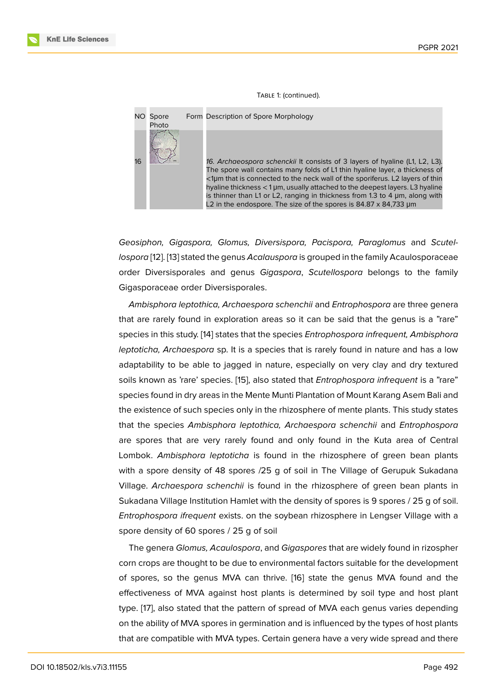#### Table 1: (continued).



*Geosiphon, Gigaspora, Glomus, Diversispora, Pacispora, Paraglomus* and *Scutellospora* [12]. [13] stated the genus *Acalauspora* is grouped in the family Acaulosporaceae order Diversisporales and genus *Gigaspora*, *Scutellospora* belongs to the family Gigasporaceae order Diversisporales.

*Ambi[sph](#page-8-3)o[ra](#page-8-4) leptothica, Archaespora schenchii* and *Entrophospora* are three genera that are rarely found in exploration areas so it can be said that the genus is a "rare" species in this study. [14] states that the species *Entrophospora infrequent, Ambisphora leptoticha, Archaespora* sp. It is a species that is rarely found in nature and has a low adaptability to be able to jagged in nature, especially on very clay and dry textured soils known as 'rare' [spe](#page-8-5)cies. [15], also stated that *Entrophospora infrequent* is a "rare" species found in dry areas in the Mente Munti Plantation of Mount Karang Asem Bali and the existence of such species only in the rhizosphere of mente plants. This study states that the species *Ambisphora [le](#page-8-6)ptothica, Archaespora schenchii* and *Entrophospora* are spores that are very rarely found and only found in the Kuta area of Central Lombok. *Ambisphora leptoticha* is found in the rhizosphere of green bean plants with a spore density of 48 spores /25 g of soil in The Village of Gerupuk Sukadana Village. *Archaespora schenchii* is found in the rhizosphere of green bean plants in Sukadana Village Institution Hamlet with the density of spores is 9 spores / 25 g of soil. *Entrophospora ifrequent* exists. on the soybean rhizosphere in Lengser Village with a spore density of 60 spores / 25 g of soil

The genera *Glomus, Acaulospora*, and *Gigaspores* that are widely found in rizospher corn crops are thought to be due to environmental factors suitable for the development of spores, so the genus MVA can thrive. [16] state the genus MVA found and the effectiveness of MVA against host plants is determined by soil type and host plant type. [17], also stated that the pattern of spread of MVA each genus varies depending on the ability of MVA spores in germination a[nd](#page-8-7) is influenced by the types of host plants that are compatible with MVA types. Certain genera have a very wide spread and there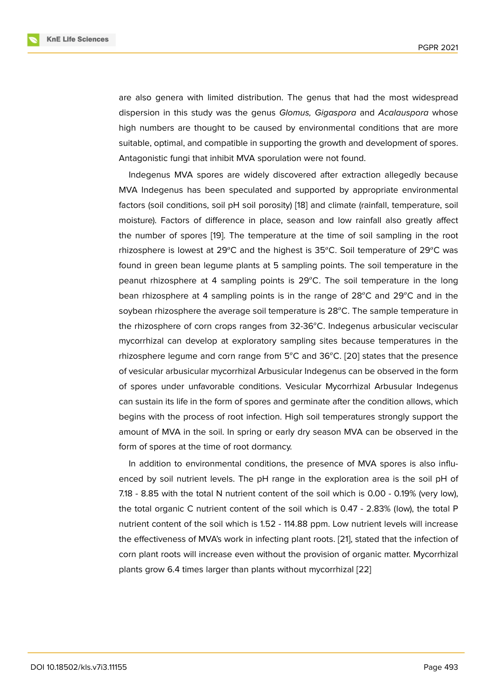are also genera with limited distribution. The genus that had the most widespread dispersion in this study was the genus *Glomus, Gigaspora* and *Acalauspora* whose high numbers are thought to be caused by environmental conditions that are more suitable, optimal, and compatible in supporting the growth and development of spores. Antagonistic fungi that inhibit MVA sporulation were not found.

Indegenus MVA spores are widely discovered after extraction allegedly because MVA Indegenus has been speculated and supported by appropriate environmental factors (soil conditions, soil pH soil porosity) [18] and climate (rainfall, temperature, soil moisture). Factors of difference in place, season and low rainfall also greatly affect the number of spores [19]. The temperature at the time of soil sampling in the root rhizosphere is lowe[st](#page-8-8) at  $29^{\circ}$ C and the highest is  $35^{\circ}$ C. Soil temperature of  $29^{\circ}$ C was found in green bean legume plants at 5 sampling points. The soil temperature in the peanut rhizosphere at [4 s](#page-8-9)ampling points is  $29^{\circ}$ C. The soil temperature in the long bean rhizosphere at 4 sampling points is in the range of  $28^{\circ}$ C and  $29^{\circ}$ C and in the soybean rhizosphere the average soil temperature is  $28^{\circ}$ C. The sample temperature in the rhizosphere of corn crops ranges from 32-36°C. Indegenus arbusicular veciscular mycorrhizal can develop at exploratory sampling sites because temperatures in the rhizosphere legume and corn range from  $5^{\circ}$ C and  $36^{\circ}$ C. [20] states that the presence of vesicular arbusicular mycorrhizal Arbusicular Indegenus can be observed in the form of spores under unfavorable conditions. Vesicular Mycorrhizal Arbusular Indegenus can sustain its life in the form of spores and germinate aft[er th](#page-8-10)e condition allows, which begins with the process of root infection. High soil temperatures strongly support the amount of MVA in the soil. In spring or early dry season MVA can be observed in the form of spores at the time of root dormancy.

In addition to environmental conditions, the presence of MVA spores is also influenced by soil nutrient levels. The pH range in the exploration area is the soil pH of 7.18 - 8.85 with the total N nutrient content of the soil which is 0.00 - 0.19% (very low), the total organic C nutrient content of the soil which is 0.47 - 2.83% (low), the total P nutrient content of the soil which is 1.52 - 114.88 ppm. Low nutrient levels will increase the effectiveness of MVA's work in infecting plant roots. [21], stated that the infection of corn plant roots will increase even without the provision of organic matter. Mycorrhizal plants grow 6.4 times larger than plants without mycorrhizal [22]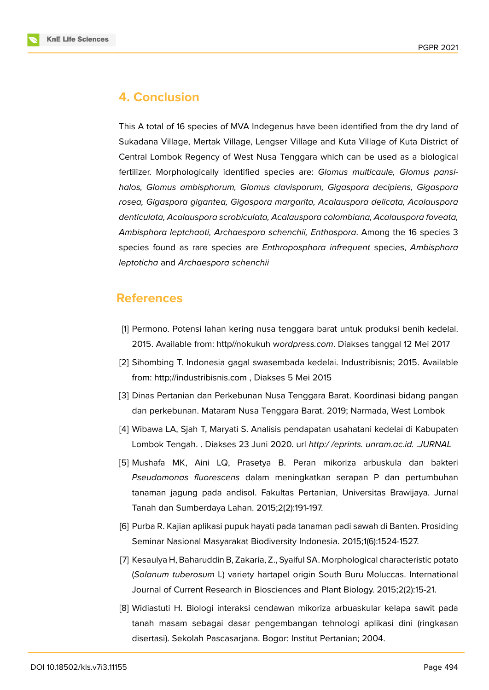

### **4. Conclusion**

This A total of 16 species of MVA Indegenus have been identified from the dry land of Sukadana Village, Mertak Village, Lengser Village and Kuta Village of Kuta District of Central Lombok Regency of West Nusa Tenggara which can be used as a biological fertilizer. Morphologically identified species are: *Glomus multicaule, Glomus pansihalos, Glomus ambisphorum, Glomus clavisporum, Gigaspora decipiens, Gigaspora rosea, Gigaspora gigantea, Gigaspora margarita, Acalauspora delicata, Acalauspora denticulata, Acalauspora scrobiculata, Acalauspora colombiana, Acalauspora foveata, Ambisphora leptchaoti, Archaespora schenchii, Enthospora*. Among the 16 species 3 species found as rare species are *Enthroposphora infrequent* species, *Ambisphora leptoticha* and *Archaespora schenchii*

### **References**

- <span id="page-7-0"></span>[1] Permono. Potensi lahan kering nusa tenggara barat untuk produksi benih kedelai. 2015. Available from: http//nokukuh w*ordpress.com*. Diakses tanggal 12 Mei 2017
- <span id="page-7-1"></span>[2] Sihombing T. Indonesia gagal swasembada kedelai. Industribisnis; 2015. Available from: http;//industribisnis.com , Diakses 5 Mei 2015
- <span id="page-7-2"></span>[3] Dinas Pertanian dan Perkebunan Nusa Tenggara Barat. Koordinasi bidang pangan dan perkebunan. Mataram Nusa Tenggara Barat. 2019; Narmada, West Lombok
- <span id="page-7-3"></span>[4] Wibawa LA, Sjah T, Maryati S. Analisis pendapatan usahatani kedelai di Kabupaten Lombok Tengah. . Diakses 23 Juni 2020. url *http:/ /eprints. unram.ac.id. .JURNAL*
- <span id="page-7-4"></span>[5] Mushafa MK, Aini LQ, Prasetya B. Peran mikoriza arbuskula dan bakteri *Pseudomonas fluorescens* dalam meningkatkan serapan P dan pertumbuhan tanaman jagung pada andisol. Fakultas Pertanian, Universitas Brawijaya. Jurnal Tanah dan Sumberdaya Lahan. 2015;2(2):191-197.
- [6] Purba R. Kajian aplikasi pupuk hayati pada tanaman padi sawah di Banten. Prosiding Seminar Nasional Masyarakat Biodiversity Indonesia. 2015;1(6):1524-1527.
- [7] Kesaulya H, Baharuddin B, Zakaria, Z., Syaiful SA. Morphological characteristic potato (*Solanum tuberosum* L) variety hartapel origin South Buru Moluccas. International Journal of Current Research in Biosciences and Plant Biology. 2015;2(2):15-21.
- <span id="page-7-5"></span>[8] Widiastuti H. Biologi interaksi cendawan mikoriza arbuaskular kelapa sawit pada tanah masam sebagai dasar pengembangan tehnologi aplikasi dini (ringkasan disertasi). Sekolah Pascasarjana. Bogor: Institut Pertanian; 2004.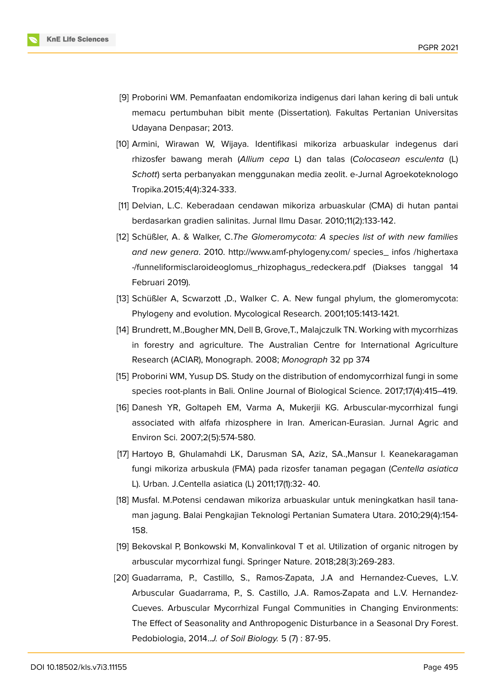

- <span id="page-8-0"></span>[9] Proborini WM. Pemanfaatan endomikoriza indigenus dari lahan kering di bali untuk memacu pertumbuhan bibit mente (Dissertation). Fakultas Pertanian Universitas Udayana Denpasar; 2013.
- <span id="page-8-1"></span>[10] Armini, Wirawan W, Wijaya. Identifikasi mikoriza arbuaskular indegenus dari rhizosfer bawang merah (*Allium cepa* L) dan talas (*Colocasean esculenta* (L) *Schott*) serta perbanyakan menggunakan media zeolit. e-Jurnal Agroekoteknologo Tropika.2015;4(4):324-333.
- <span id="page-8-2"></span>[11] Delvian, L.C. Keberadaan cendawan mikoriza arbuaskular (CMA) di hutan pantai berdasarkan gradien salinitas. Jurnal Ilmu Dasar. 2010;11(2):133-142.
- <span id="page-8-3"></span>[12] Schüßler, A. & Walker, C.*The Glomeromycota: A species list of with new families and new genera*. 2010. http://www.amf-phylogeny.com/ species\_ infos /highertaxa -/funneliformisclaroideoglomus\_rhizophagus\_redeckera.pdf (Diakses tanggal 14 Februari 2019).
- <span id="page-8-4"></span>[13] Schüßler A, Scwarzott ,D., Walker C. A. New fungal phylum, the glomeromycota: Phylogeny and evolution. Mycological Research. 2001;105:1413-1421.
- <span id="page-8-5"></span>[14] Brundrett, M.,Bougher MN, Dell B, Grove,T., Malajczulk TN. Working with mycorrhizas in forestry and agriculture. The Australian Centre for International Agriculture Research (ACIAR), Monograph. 2008; *Monograph* 32 pp 374
- <span id="page-8-6"></span>[15] Proborini WM, Yusup DS. Study on the distribution of endomycorrhizal fungi in some species root-plants in Bali. Online Journal of Biological Science. 2017;17(4):415–419.
- <span id="page-8-7"></span>[16] Danesh YR, Goltapeh EM, Varma A, Mukerjii KG. Arbuscular-mycorrhizal fungi associated with alfafa rhizosphere in Iran. American-Eurasian. Jurnal Agric and Environ Sci. 2007;2(5):574-580.
- [17] Hartoyo B, Ghulamahdi LK, Darusman SA, Aziz, SA.,Mansur I. Keanekaragaman fungi mikoriza arbuskula (FMA) pada rizosfer tanaman pegagan (*Centella asiatica* L). Urban. J.Centella asiatica (L) 2011;17(1):32- 40.
- <span id="page-8-8"></span>[18] Musfal. M.Potensi cendawan mikoriza arbuaskular untuk meningkatkan hasil tanaman jagung. Balai Pengkajian Teknologi Pertanian Sumatera Utara. 2010;29(4):154- 158.
- <span id="page-8-9"></span>[19] Bekovskal P, Bonkowski M, Konvalinkoval T et al. Utilization of organic nitrogen by arbuscular mycorrhizal fungi. Springer Nature. 2018;28(3):269-283.
- <span id="page-8-10"></span>[20] Guadarrama, P., Castillo, S., Ramos-Zapata, J.A and Hernandez-Cueves, L.V. Arbuscular Guadarrama, P., S. Castillo, J.A. Ramos-Zapata and L.V. Hernandez-Cueves. Arbuscular Mycorrhizal Fungal Communities in Changing Environments: The Effect of Seasonality and Anthropogenic Disturbance in a Seasonal Dry Forest. Pedobiologia, 2014..*J. of Soil Biology.* 5 (7) : 87-95.